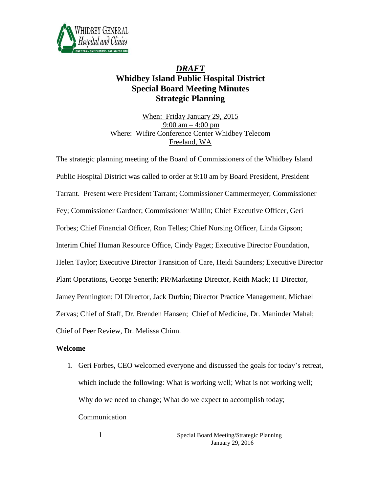

## *DRAFT* **Whidbey Island Public Hospital District Special Board Meeting Minutes Strategic Planning**

When: Friday January 29, 2015 9:00 am  $-$  4:00 pm Where: Wifire Conference Center Whidbey Telecom Freeland, WA

The strategic planning meeting of the Board of Commissioners of the Whidbey Island Public Hospital District was called to order at 9:10 am by Board President, President Tarrant. Present were President Tarrant; Commissioner Cammermeyer; Commissioner Fey; Commissioner Gardner; Commissioner Wallin; Chief Executive Officer, Geri Forbes; Chief Financial Officer, Ron Telles; Chief Nursing Officer, Linda Gipson; Interim Chief Human Resource Office, Cindy Paget; Executive Director Foundation, Helen Taylor; Executive Director Transition of Care, Heidi Saunders; Executive Director Plant Operations, George Senerth; PR/Marketing Director, Keith Mack; IT Director, Jamey Pennington; DI Director, Jack Durbin; Director Practice Management, Michael Zervas; Chief of Staff, Dr. Brenden Hansen; Chief of Medicine, Dr. Maninder Mahal; Chief of Peer Review, Dr. Melissa Chinn.

## **Welcome**

1. Geri Forbes, CEO welcomed everyone and discussed the goals for today's retreat, which include the following: What is working well; What is not working well; Why do we need to change; What do we expect to accomplish today; Communication

> 1 Special Board Meeting/Strategic Planning January 29, 2016